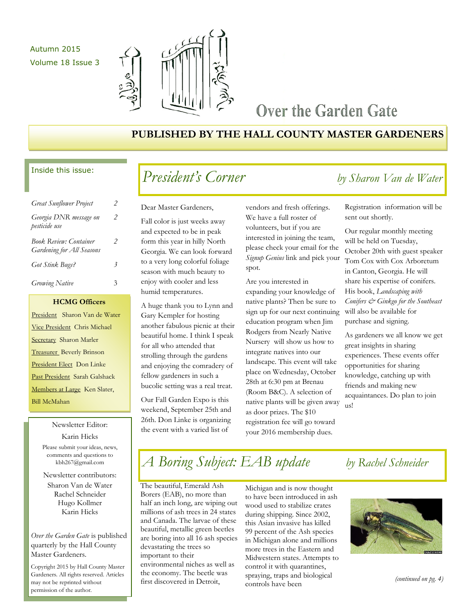## Autumn 2015 Volume 18 Issue 3



## Over the Garden Gate

## **PUBLISHED BY THE HALL COUNTY MASTER GARDENERS**

## Inside this issue:

| <b>Great Sunflower Project</b>                                    |   |
|-------------------------------------------------------------------|---|
| Georgia DNR message on<br>pesticide use                           | 2 |
| <b>Book Review: Container</b><br><b>Gardening for All Seasons</b> | 2 |
| Got Stink Bugs?                                                   | 3 |
| <b>Growing Native</b>                                             | 3 |

## **HCMG Officers**

President Sharon Van de Water Vice President Chris Michael Secretary Sharon Marler Treasurer Beverly Brinson President Elect Don Linke Past President Sarah Galshack Members at Large Ken Slater, Bill McMahan

> Newsletter Editor: Karin Hicks Please submit your ideas, news, comments and questions to kbh267@gmail.com

Newsletter contributors:

Sharon Van de Water Rachel Schneider Hugo Kollmer Karin Hicks

*Over the Garden Gate* is published quarterly by the Hall County Master Gardeners.

Copyright 2015 by Hall County Master Gardeners. All rights reserved. Articles may not be reprinted without permission of the author.

## *President's Corner by Sharon Van de Water*

## Dear Master Gardeners,

Fall color is just weeks away and expected to be in peak form this year in hilly North Georgia. We can look forward to a very long colorful foliage season with much beauty to enjoy with cooler and less humid temperatures.

A huge thank you to Lynn and Gary Kempler for hosting another fabulous picnic at their beautiful home. I think I speak for all who attended that strolling through the gardens and enjoying the comradery of fellow gardeners in such a bucolic setting was a real treat.

Our Fall Garden Expo is this weekend, September 25th and 26th. Don Linke is organizing the event with a varied list of

vendors and fresh offerings. We have a full roster of volunteers, but if you are interested in joining the team, please check your email for the *Signup Genius* link and pick your spot.

Are you interested in expanding your knowledge of native plants? Then be sure to sign up for our next continuing education program when Jim Rodgers from Nearly Native Nursery will show us how to integrate natives into our landscape. This event will take place on Wednesday, October 28th at 6:30 pm at Brenau (Room B&C). A selection of native plants will be given away as door prizes. The \$10 registration fee will go toward your 2016 membership dues.

Registration information will be sent out shortly.

Our regular monthly meeting will be held on Tuesday, October 20th with guest speaker Tom Cox with Cox Arboretum in Canton, Georgia. He will share his expertise of conifers. His book, *Landscaping with Conifers & Ginkgo for the Southeast*  will also be available for purchase and signing.

As gardeners we all know we get great insights in sharing experiences. These events offer opportunities for sharing knowledge, catching up with friends and making new acquaintances. Do plan to join us!

# *A Boring Subject: EAB update by Rachel Schneider*

The beautiful, Emerald Ash Borers (EAB), no more than half an inch long, are wiping out millions of ash trees in 24 states and Canada. The larvae of these beautiful, metallic green beetles are boring into all 16 ash species devastating the trees so important to their environmental niches as well as the economy. The beetle was first discovered in Detroit,

Michigan and is now thought to have been introduced in ash wood used to stabilize crates during shipping. Since 2002, this Asian invasive has killed 99 percent of the Ash species in Michigan alone and millions more trees in the Eastern and Midwestern states. Attempts to control it with quarantines, spraying, traps and biological controls have been

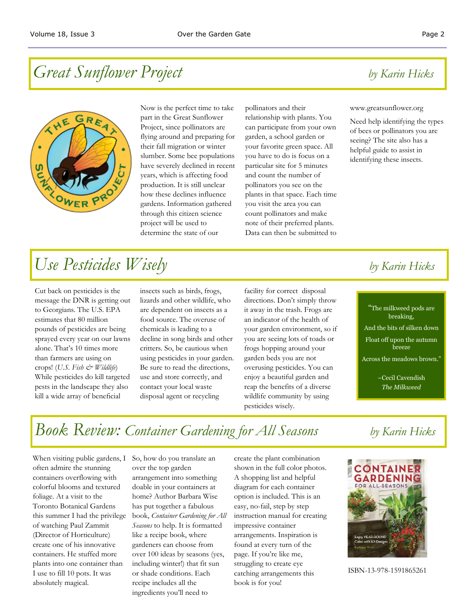# *Great Sunflower Project by Karin Hicks*



Now is the perfect time to take part in the Great Sunflower Project, since pollinators are flying around and preparing for their fall migration or winter slumber. Some bee populations have severely declined in recent years, which is affecting food production. It is still unclear how these declines influence gardens. Information gathered through this citizen science project will be used to determine the state of our

pollinators and their relationship with plants. You can participate from your own garden, a school garden or your favorite green space. All you have to do is focus on a particular site for 5 minutes and count the number of pollinators you see on the plants in that space. Each time you visit the area you can count pollinators and make note of their preferred plants. Data can then be submitted to

### www.greatsunflower.org

Need help identifying the types of bees or pollinators you are seeing? The site also has a helpful guide to assist in identifying these insects.

# *Use Pesticides Wisely by Karin Hicks*

Cut back on pesticides is the message the DNR is getting out to Georgians. The U.S. EPA estimates that 80 million pounds of pesticides are being sprayed every year on our lawns alone. That's 10 times more than farmers are using on crops! (*U.S. Fish & Wildlife*) While pesticides do kill targeted pests in the landscape they also kill a wide array of beneficial

insects such as birds, frogs, lizards and other wildlife, who are dependent on insects as a food source. The overuse of chemicals is leading to a decline in song birds and other critters. So, be cautious when using pesticides in your garden. Be sure to read the directions, use and store correctly, and contact your local waste disposal agent or recycling

facility for correct disposal directions. Don't simply throw it away in the trash. Frogs are an indicator of the health of your garden environment, so if you are seeing lots of toads or frogs hopping around your garden beds you are not overusing pesticides. You can enjoy a beautiful garden and reap the benefits of a diverse wildlife community by using pesticides wisely.

## "The milkweed pods are breaking, And the bits of silken down Float off upon the autumn breeze Across the meadows brown."

~Cecil Cavendish *The Milkweed*

# *Book Review: Container Gardening for All Seasons by Karin Hicks*

When visiting public gardens, I often admire the stunning containers overflowing with colorful blooms and textured foliage. At a visit to the Toronto Botanical Gardens this summer I had the privilege of watching Paul Zammit (Director of Horticulture) create one of his innovative containers. He stuffed more plants into one container than I use to fill 10 pots. It was absolutely magical.

So, how do you translate an over the top garden arrangement into something doable in your containers at home? Author Barbara Wise has put together a fabulous book, *Container Gardening for All Seasons* to help. It is formatted like a recipe book, where gardeners can choose from over 100 ideas by seasons (yes, including winter!) that fit sun or shade conditions. Each recipe includes all the ingredients you'll need to

create the plant combination shown in the full color photos. A shopping list and helpful diagram for each container option is included. This is an easy, no-fail, step by step instruction manual for creating impressive container arrangements. Inspiration is found at every turn of the page. If you're like me, struggling to create eye catching arrangements this book is for you!



ISBN-13-978-1591865261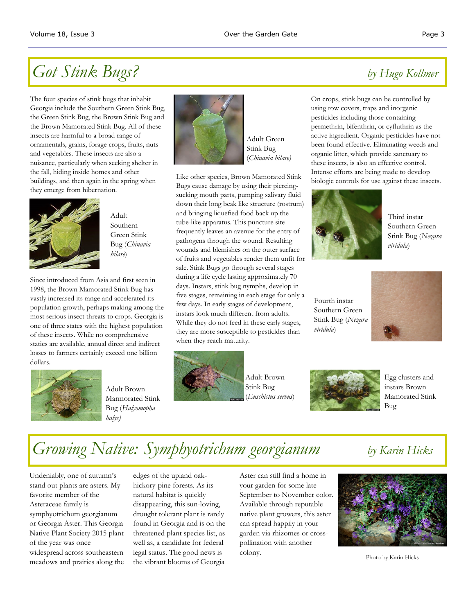# *Got Stink Bugs? by Hugo Kollmer*

The four species of stink bugs that inhabit Georgia include the Southern Green Stink Bug, the Green Stink Bug, the Brown Stink Bug and the Brown Mamorated Stink Bug. All of these insects are harmful to a broad range of ornamentals, grains, forage crops, fruits, nuts and vegetables. These insects are also a nuisance, particularly when seeking shelter in the fall, hiding inside homes and other buildings, and then again in the spring when they emerge from hibernation.



Adult Southern Green Stink Bug (*Chinavia hilare*)

Since introduced from Asia and first seen in 1998, the Brown Mamorated Stink Bug has vastly increased its range and accelerated its population growth, perhaps making among the most serious insect threats to crops. Georgia is one of three states with the highest population of these insects. While no comprehensive statics are available, annual direct and indirect losses to farmers certainly exceed one billion dollars.



Adult Brown Marmorated Stink Bug (*Halyomopha halys)*



Adult Green Stink Bug (*Chinavia hilare)*

Like other species, Brown Mamorated Stink Bugs cause damage by using their piercingsucking mouth parts, pumping salivary fluid down their long beak like structure (rostrum) and bringing liquefied food back up the tube-like apparatus. This puncture site frequently leaves an avenue for the entry of pathogens through the wound. Resulting wounds and blemishes on the outer surface of fruits and vegetables render them unfit for sale. Stink Bugs go through several stages during a life cycle lasting approximately 70 days. Instars, stink bug nymphs, develop in five stages, remaining in each stage for only a few days. In early stages of development, instars look much different from adults. While they do not feed in these early stages, they are more susceptible to pesticides than when they reach maturity.



Adult Brown Stink Bug (*Euschistus servus*)

On crops, stink bugs can be controlled by using row covers, traps and inorganic pesticides including those containing permethrin, bifenthrin, or cyfluthrin as the active ingredient. Organic pesticides have not been found effective. Eliminating weeds and organic litter, which provide sanctuary to these insects, is also an effective control. Intense efforts are being made to develop biologic controls for use against these insects.



Third instar Southern Green Stink Bug (*Nezara viridula*)

Fourth instar Southern Green Stink Bug (*Nezara viridula*)





Egg clusters and instars Brown Mamorated Stink Bug

# *Growing Native: Symphyotrichum georgianum by Karin Hicks*

Undeniably, one of autumn's stand out plants are asters. My favorite member of the Asteraceae family is symphyotrichum georgianum or Georgia Aster. This Georgia Native Plant Society 2015 plant of the year was once widespread across southeastern meadows and prairies along the edges of the upland oakhickory-pine forests. As its natural habitat is quickly disappearing, this sun-loving, drought tolerant plant is rarely found in Georgia and is on the threatened plant species list, as well as, a candidate for federal legal status. The good news is the vibrant blooms of Georgia

Aster can still find a home in your garden for some late September to November color. Available through reputable native plant growers, this aster can spread happily in your garden via rhizomes or crosspollination with another colony.



Photo by Karin Hicks